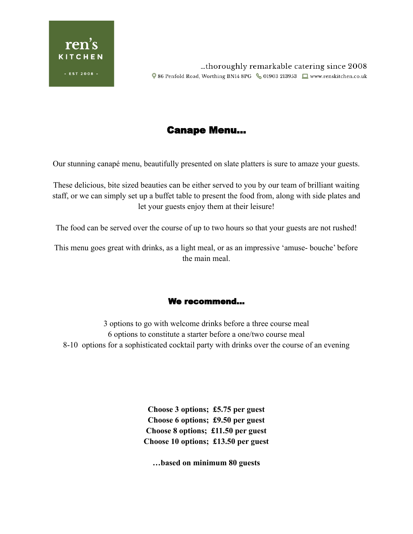

# Canape Menu…

Our stunning canapé menu, beautifully presented on slate platters is sure to amaze your guests.

These delicious, bite sized beauties can be either served to you by our team of brilliant waiting staff, or we can simply set up a buffet table to present the food from, along with side plates and let your guests enjoy them at their leisure!

The food can be served over the course of up to two hours so that your guests are not rushed!

This menu goes great with drinks, as a light meal, or as an impressive 'amuse- bouche' before the main meal.

#### We recommend…

3 options to go with welcome drinks before a three course meal 6 options to constitute a starter before a one/two course meal 8-10 options for a sophisticated cocktail party with drinks over the course of an evening

> **Choose 3 options; £5.75 per guest Choose 6 options; £9.50 per guest Choose 8 options; £11.50 per guest Choose 10 options; £13.50 per guest**

**…based on minimum 80 guests**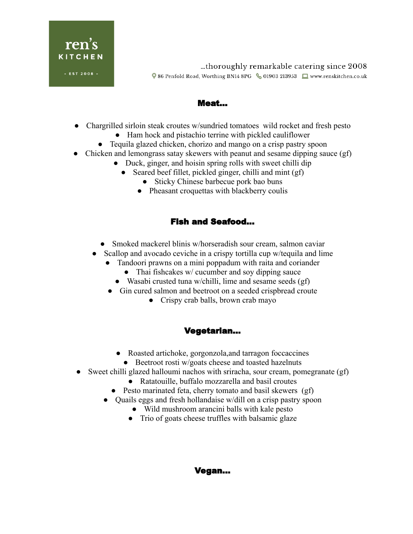

thoroughly remarkable catering since 2008... ♥ 86 Penfold Road, Worthing BN14 8PG & 01903 213953 ■ www.renskitchen.co.uk

#### Meat…

- Chargrilled sirloin steak croutes w/sundried tomatoes wild rocket and fresh pesto
	- Ham hock and pistachio terrine with pickled cauliflower
	- Tequila glazed chicken, chorizo and mango on a crisp pastry spoon
- Chicken and lemongrass satay skewers with peanut and sesame dipping sauce  $(gf)$ 
	- Duck, ginger, and hoisin spring rolls with sweet chilli dip
		- Seared beef fillet, pickled ginger, chilli and mint (gf)
			- Sticky Chinese barbecue pork bao buns
			- Pheasant croquettas with blackberry coulis

#### Fish and Seafood…

- Smoked mackerel blinis w/horseradish sour cream, salmon caviar
- Scallop and avocado ceviche in a crispy tortilla cup w/tequila and lime
	- Tandoori prawns on a mini poppadum with raita and coriander
		- Thai fishcakes w/ cucumber and soy dipping sauce
		- Wasabi crusted tuna w/chilli, lime and sesame seeds (gf)
	- Gin cured salmon and beetroot on a seeded crispbread croute
		- Crispy crab balls, brown crab mayo

#### Vegetarian…

- Roasted artichoke, gorgonzola,and tarragon foccaccines
	- Beetroot rosti w/goats cheese and toasted hazelnuts
- Sweet chilli glazed halloumi nachos with sriracha, sour cream, pomegranate (gf)
	- Ratatouille, buffalo mozzarella and basil croutes
	- Pesto marinated feta, cherry tomato and basil skewers (gf)
	- Quails eggs and fresh hollandaise w/dill on a crisp pastry spoon
		- Wild mushroom arancini balls with kale pesto
		- Trio of goats cheese truffles with balsamic glaze

Vegan…